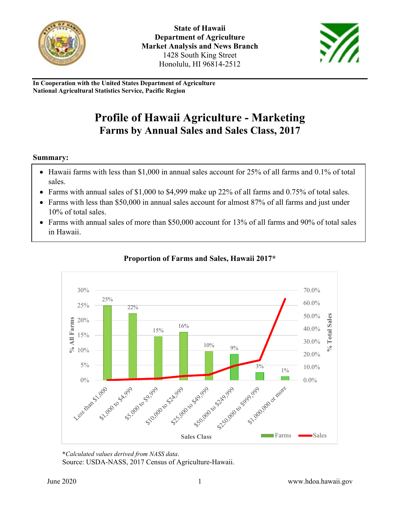



**In Cooperation with the United States Department of Agriculture National Agricultural Statistics Service, Pacific Region**

# **Profile of Hawaii Agriculture - Marketing Farms by Annual Sales and Sales Class, 2017**

#### **Summary:**

- Hawaii farms with less than \$1,000 in annual sales account for 25% of all farms and 0.1% of total sales.
- Farms with annual sales of \$1,000 to \$4,999 make up 22% of all farms and 0.75% of total sales.
- Farms with less than \$50,000 in annual sales account for almost 87% of all farms and just under 10% of total sales.
- Farms with annual sales of more than \$50,000 account for 13% of all farms and 90% of total sales in Hawaii.



#### **Proportion of Farms and Sales, Hawaii 2017\***

**\****Calculated values derived from NASS data*.

Source: USDA-NASS, 2017 Census of Agriculture-Hawaii.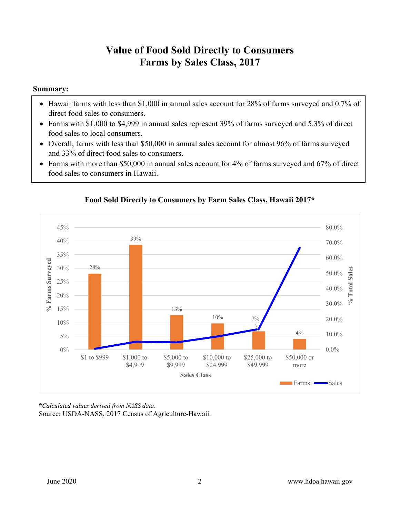### **Value of Food Sold Directly to Consumers Farms by Sales Class, 2017**

#### **Summary:**

- Hawaii farms with less than \$1,000 in annual sales account for 28% of farms surveyed and 0.7% of direct food sales to consumers.
- Farms with \$1,000 to \$4,999 in annual sales represent 39% of farms surveyed and 5.3% of direct food sales to local consumers.
- Overall, farms with less than \$50,000 in annual sales account for almost 96% of farms surveyed and 33% of direct food sales to consumers.
- Farms with more than \$50,000 in annual sales account for 4% of farms surveyed and 67% of direct food sales to consumers in Hawaii.



#### **Food Sold Directly to Consumers by Farm Sales Class, Hawaii 2017\***

**\****Calculated values derived from NASS data*. Source: USDA-NASS, 2017 Census of Agriculture-Hawaii.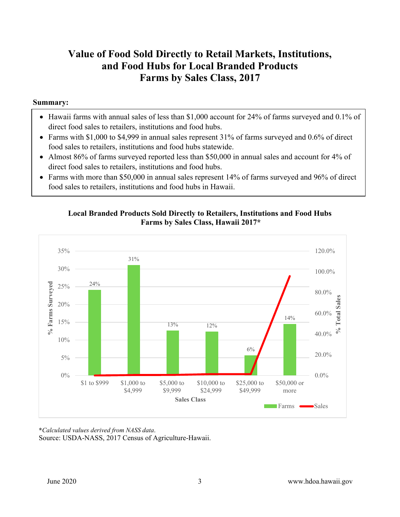### **Value of Food Sold Directly to Retail Markets, Institutions, and Food Hubs for Local Branded Products Farms by Sales Class, 2017**

#### **Summary:**

- Hawaii farms with annual sales of less than \$1,000 account for 24% of farms surveyed and 0.1% of direct food sales to retailers, institutions and food hubs.
- Farms with \$1,000 to \$4,999 in annual sales represent 31% of farms surveyed and 0.6% of direct food sales to retailers, institutions and food hubs statewide.
- Almost 86% of farms surveyed reported less than \$50,000 in annual sales and account for 4% of direct food sales to retailers, institutions and food hubs.
- Farms with more than \$50,000 in annual sales represent 14% of farms surveyed and 96% of direct food sales to retailers, institutions and food hubs in Hawaii.

#### **Local Branded Products Sold Directly to Retailers, Institutions and Food Hubs Farms by Sales Class, Hawaii 2017\***



**\****Calculated values derived from NASS data*. Source: USDA-NASS, 2017 Census of Agriculture-Hawaii.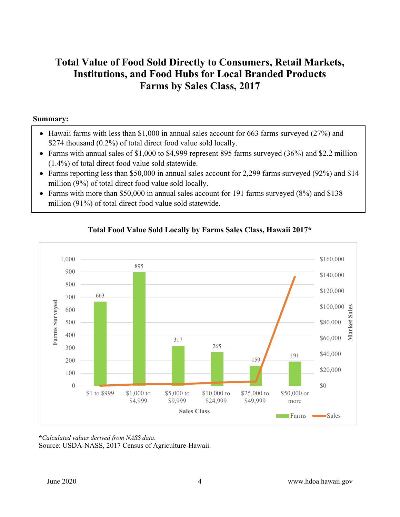### **Total Value of Food Sold Directly to Consumers, Retail Markets, Institutions, and Food Hubs for Local Branded Products Farms by Sales Class, 2017**

#### **Summary:**

- Hawaii farms with less than \$1,000 in annual sales account for 663 farms surveyed (27%) and \$274 thousand (0.2%) of total direct food value sold locally.
- Farms with annual sales of \$1,000 to \$4,999 represent 895 farms surveyed (36%) and \$2.2 million (1.4%) of total direct food value sold statewide.
- Farms reporting less than \$50,000 in annual sales account for 2,299 farms surveyed (92%) and \$14 million (9%) of total direct food value sold locally.
- Farms with more than \$50,000 in annual sales account for 191 farms surveyed (8%) and \$138 million (91%) of total direct food value sold statewide.



### **Total Food Value Sold Locally by Farms Sales Class, Hawaii 2017\***

**\****Calculated values derived from NASS data*. Source: USDA-NASS, 2017 Census of Agriculture-Hawaii.